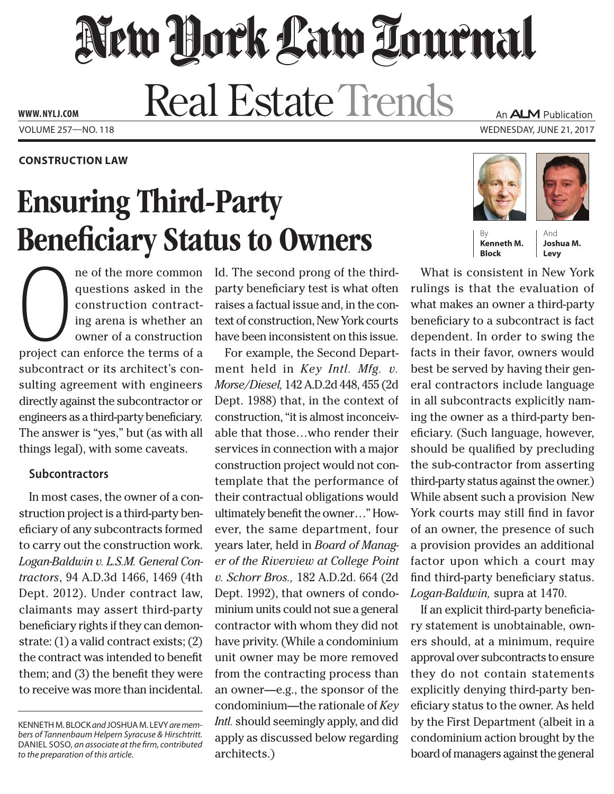# New York Law Tournal **Real Estate Trends**

Volume 257—NO. 118 Wednesday, June 21, 2017 **www. NYLJ.com**

**construction Law**

## Ensuring Third-Party **Beneficiary Status to Owners**

ne of the more common<br>questions asked in the<br>construction contract-<br>ing arena is whether an<br>owner of a construction<br>project can enforce the terms of a ne of the more common questions asked in the construction contracting arena is whether an owner of a construction subcontract or its architect's consulting agreement with engineers directly against the subcontractor or engineers as a third-party beneficiary. The answer is "yes," but (as with all things legal), with some caveats.

### **Subcontractors**

In most cases, the owner of a construction project is a third-party beneficiary of any subcontracts formed to carry out the construction work. *Logan-Baldwin v. L.S.M. General Contractors*, 94 A.D.3d 1466, 1469 (4th Dept. 2012). Under contract law, claimants may assert third-party beneficiary rights if they can demonstrate: (1) a valid contract exists; (2) the contract was intended to benefit them; and (3) the benefit they were to receive was more than incidental.

Kenneth M. Block *and* Joshua M. Levy *are members of Tannenbaum Helpern Syracuse & Hirschtritt.* Daniel Soso*, an associate at the firm, contributed to the preparation of this article.*

Id. The second prong of the thirdparty beneficiary test is what often raises a factual issue and, in the context of construction, New York courts have been inconsistent on this issue.

For example, the Second Department held in *Key Intl. Mfg. v. Morse/Diesel,* 142 A.D.2d 448, 455 (2d Dept. 1988) that, in the context of construction, "it is almost inconceivable that those…who render their services in connection with a major construction project would not contemplate that the performance of their contractual obligations would ultimately benefit the owner…" However, the same department, four years later, held in *Board of Manager of the Riverview at College Point v. Schorr Bros.,* 182 A.D.2d. 664 (2d Dept. 1992), that owners of condominium units could not sue a general contractor with whom they did not have privity. (While a condominium unit owner may be more removed from the contracting process than an owner—e.g., the sponsor of the condominium—the rationale of *Key Intl.* should seemingly apply, and did apply as discussed below regarding architects.)

**Kenneth M. Block**

And **Joshua M. Levy**

What is consistent in New York rulings is that the evaluation of what makes an owner a third-party beneficiary to a subcontract is fact dependent. In order to swing the facts in their favor, owners would best be served by having their general contractors include language in all subcontracts explicitly naming the owner as a third-party beneficiary. (Such language, however, should be qualified by precluding the sub-contractor from asserting third-party status against the owner.) While absent such a provision New York courts may still find in favor of an owner, the presence of such a provision provides an additional factor upon which a court may find third-party beneficiary status. *Logan-Baldwin,* supra at 1470.

If an explicit third-party beneficiary statement is unobtainable, owners should, at a minimum, require approval over subcontracts to ensure they do not contain statements explicitly denying third-party beneficiary status to the owner. As held by the First Department (albeit in a condominium action brought by the board of managers against the general





An **ALM** Publication